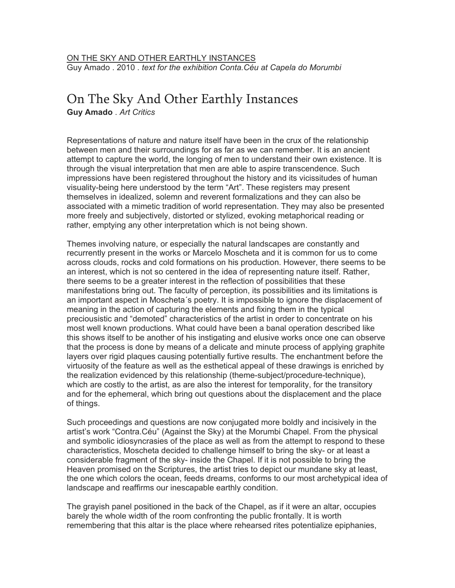## [ON THE SKY AND OTHER EARTHLY INSTANCES](http://cargocollective.com/marcelomoscheta/On-The-Sky-And-Other-Earthly-Instances) Guy Amado . 2010 . *text for the exhibition Conta.Céu at Capela do Morumbi*

## On The Sky And Other Earthly Instances

**Guy Amado** . *Art Critics*

Representations of nature and nature itself have been in the crux of the relationship between men and their surroundings for as far as we can remember. It is an ancient attempt to capture the world, the longing of men to understand their own existence. It is through the visual interpretation that men are able to aspire transcendence. Such impressions have been registered throughout the history and its vicissitudes of human visuality-being here understood by the term "Art". These registers may present themselves in idealized, solemn and reverent formalizations and they can also be associated with a mimetic tradition of world representation. They may also be presented more freely and subjectively, distorted or stylized, evoking metaphorical reading or rather, emptying any other interpretation which is not being shown.

Themes involving nature, or especially the natural landscapes are constantly and recurrently present in the works or Marcelo Moscheta and it is common for us to come across clouds, rocks and cold formations on his production. However, there seems to be an interest, which is not so centered in the idea of representing nature itself. Rather, there seems to be a greater interest in the reflection of possibilities that these manifestations bring out. The faculty of perception, its possibilities and its limitations is an important aspect in Moscheta´s poetry. It is impossible to ignore the displacement of meaning in the action of capturing the elements and fixing them in the typical preciousistic and "demoted" characteristics of the artist in order to concentrate on his most well known productions. What could have been a banal operation described like this shows itself to be another of his instigating and elusive works once one can observe that the process is done by means of a delicate and minute process of applying graphite layers over rigid plaques causing potentially furtive results. The enchantment before the virtuosity of the feature as well as the esthetical appeal of these drawings is enriched by the realization evidenced by this relationship (theme-subject/procedure-technique), which are costly to the artist, as are also the interest for temporality, for the transitory and for the ephemeral, which bring out questions about the displacement and the place of things.

Such proceedings and questions are now conjugated more boldly and incisively in the artist's work "Contra.Céu" (Against the Sky) at the Morumbi Chapel. From the physical and symbolic idiosyncrasies of the place as well as from the attempt to respond to these characteristics, Moscheta decided to challenge himself to bring the sky- or at least a considerable fragment of the sky- inside the Chapel. If it is not possible to bring the Heaven promised on the Scriptures, the artist tries to depict our mundane sky at least, the one which colors the ocean, feeds dreams, conforms to our most archetypical idea of landscape and reaffirms our inescapable earthly condition.

The grayish panel positioned in the back of the Chapel, as if it were an altar, occupies barely the whole width of the room confronting the public frontally. It is worth remembering that this altar is the place where rehearsed rites potentialize epiphanies,